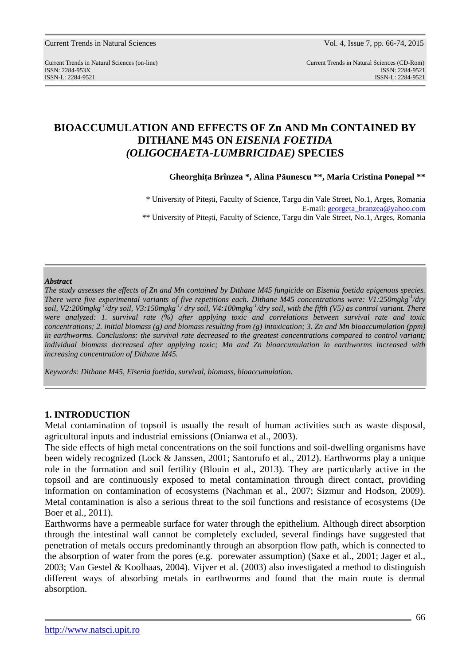# **BIOACCUMULATION AND EFFECTS OF Zn AND Mn CONTAINED BY DITHANE M45 ON** *EISENIA FOETIDA* *(OLIGOCHAETA-LUMBRICIDAE)* **SPECIES**

**Gheorghiţa Brînzea \*, Alina Păunescu \*\*, Maria Cristina Ponepal \*\*** 

\* University of Piteşti, Faculty of Science, Targu din Vale Street*,* No.1, Arges, Romania E-mail: georgeta\_branzea@yahoo.com \*\* University of Piteşti, Faculty of Science, Targu din Vale Street*,* No.1, Arges, Romania

#### *Abstract*

*The study assesses the effects of Zn and Mn contained by Dithane M45 fungicide on Eisenia foetida epigenous species. There were five experimental variants of five repetitions each. Dithane M45 concentrations were: V1:250mgkg-1/dry soil, V2:200mgkg-1/dry soil, V3:150mgkg-1/ dry soil, V4:100mgkg-1/dry soil, with the fifth (V5) as control variant. There were analyzed: 1. survival rate (%) after applying toxic and correlations between survival rate and toxic concentrations; 2. initial biomass (g) and biomass resulting from (g) intoxication; 3. Zn and Mn bioaccumulation (ppm) in earthworms. Conclusions: the survival rate decreased to the greatest concentrations compared to control variant; individual biomass decreased after applying toxic; Mn and Zn bioaccumulation in earthworms increased with increasing concentration of Dithane M45.* 

*Keywords: Dithane M45, Eisenia foetida, survival, biomass, bioaccumulation.*

# **1. INTRODUCTION**

Metal contamination of topsoil is usually the result of human activities such as waste disposal, agricultural inputs and industrial emissions (Onianwa et al., 2003).

The side effects of high metal concentrations on the soil functions and soil-dwelling organisms have been widely recognized (Lock & Janssen, 2001; Santorufo et al., 2012). Earthworms play a unique role in the formation and soil fertility (Blouin et al., 2013). They are particularly active in the topsoil and are continuously exposed to metal contamination through direct contact, providing information on contamination of ecosystems (Nachman et al., 2007; Sizmur and Hodson, 2009). Metal contamination is also a serious threat to the soil functions and resistance of ecosystems (De Boer et al., 2011).

Earthworms have a permeable surface for water through the epithelium. Although direct absorption through the intestinal wall cannot be completely excluded, several findings have suggested that penetration of metals occurs predominantly through an absorption flow path, which is connected to the absorption of water from the pores (e.g. porewater assumption) (Saxe et al., 2001; Jager et al., 2003; Van Gestel & Koolhaas, 2004). Vijver et al. (2003) also investigated a method to distinguish different ways of absorbing metals in earthworms and found that the main route is dermal absorption.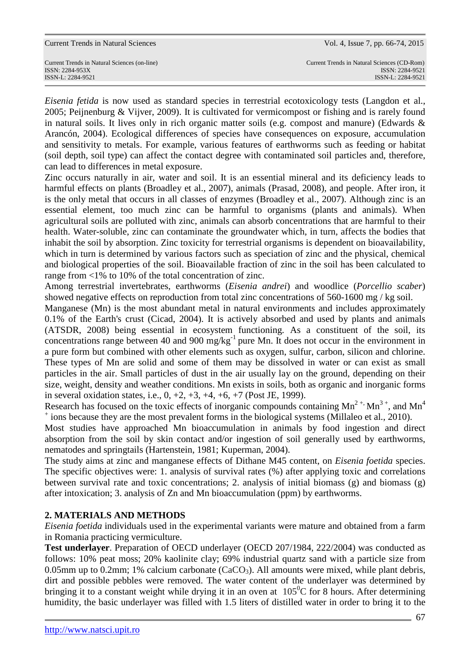Current Trends in Natural Sciences (on-line) Current Trends in Natural Sciences (CD-Rom) ISSN-L: 2284-9521 ISSN-L: 2284-9521

*Eisenia fetida* is now used as standard species in terrestrial ecotoxicology tests (Langdon et al., 2005; Peijnenburg & Vijver, 2009). It is cultivated for vermicompost or fishing and is rarely found in natural soils. It lives only in rich organic matter soils (e.g. compost and manure) (Edwards & Arancón, 2004). Ecological differences of species have consequences on exposure, accumulation and sensitivity to metals. For example, various features of earthworms such as feeding or habitat (soil depth, soil type) can affect the contact degree with contaminated soil particles and, therefore, can lead to differences in metal exposure.

Zinc occurs naturally in air, water and soil. It is an essential mineral and its deficiency leads to harmful effects on plants (Broadley et al., 2007), animals (Prasad, 2008), and people. After iron, it is the only metal that occurs in all classes of enzymes (Broadley et al., 2007). Although zinc is an essential element, too much zinc can be harmful to organisms (plants and animals). When agricultural soils are polluted with zinc, animals can absorb concentrations that are harmful to their health. Water-soluble, zinc can contaminate the groundwater which, in turn, affects the bodies that inhabit the soil by absorption. Zinc toxicity for terrestrial organisms is dependent on bioavailability, which in turn is determined by various factors such as speciation of zinc and the physical, chemical and biological properties of the soil. Bioavailable fraction of zinc in the soil has been calculated to range from <1% to 10% of the total concentration of zinc.

Among terrestrial invertebrates, earthworms (*Eisenia andrei*) and woodlice (*Porcellio scaber*) showed negative effects on reproduction from total zinc concentrations of 560-1600 mg / kg soil.

Manganese (Mn) is the most abundant metal in natural environments and includes approximately 0.1% of the Earth's crust (Cicad, 2004). It is actively absorbed and used by plants and animals (ATSDR, 2008) being essential in ecosystem functioning. As a constituent of the soil, its concentrations range between 40 and 900 mg/kg<sup>-1</sup> pure Mn. It does not occur in the environment in a pure form but combined with other elements such as oxygen, sulfur, carbon, silicon and chlorine. These types of Mn are solid and some of them may be dissolved in water or can exist as small particles in the air. Small particles of dust in the air usually lay on the ground, depending on their size, weight, density and weather conditions. Mn exists in soils, both as organic and inorganic forms in several oxidation states, i.e.,  $0, +2, +3, +4, +6, +7$  (Post JE, 1999).

Research has focused on the toxic effects of inorganic compounds containing  $Mn^{2+}Mn^{3+}$ , and  $Mn^{4}$ <sup>+</sup> ions because they are the most prevalent forms in the biological systems (Millaleo et al., 2010).

Most studies have approached Mn bioaccumulation in animals by food ingestion and direct absorption from the soil by skin contact and/or ingestion of soil generally used by earthworms, nematodes and springtails (Hartenstein, 1981; Kuperman, 2004).

The study aims at zinc and manganese effects of Dithane M45 content, on *Eisenia foetida* species. The specific objectives were: 1. analysis of survival rates (%) after applying toxic and correlations between survival rate and toxic concentrations; 2. analysis of initial biomass (g) and biomass (g) after intoxication; 3. analysis of Zn and Mn bioaccumulation (ppm) by earthworms.

# **2. MATERIALS AND METHODS**

*Eisenia foetida* individuals used in the experimental variants were mature and obtained from a farm in Romania practicing vermiculture.

**Test underlayer**. Preparation of OECD underlayer (OECD 207/1984, 222/2004) was conducted as follows: 10% peat moss; 20% kaolinite clay; 69% industrial quartz sand with a particle size from 0.05mm up to 0.2mm; 1% calcium carbonate  $(CaCO<sub>3</sub>)$ . All amounts were mixed, while plant debris, dirt and possible pebbles were removed. The water content of the underlayer was determined by bringing it to a constant weight while drying it in an oven at  $105\degree$ C for 8 hours. After determining humidity, the basic underlayer was filled with 1.5 liters of distilled water in order to bring it to the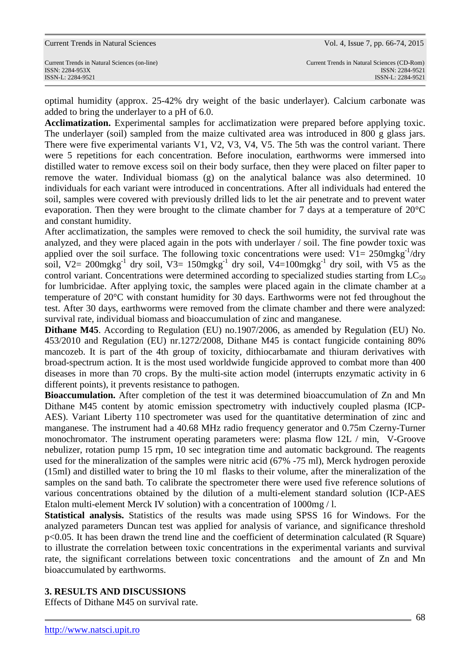|  |  | <b>Current Trends in Natural Sciences</b> |
|--|--|-------------------------------------------|
|  |  |                                           |

Current Trends in Natural Sciences (on-line) Current Trends in Natural Sciences (CD-Rom)

optimal humidity (approx. 25-42% dry weight of the basic underlayer). Calcium carbonate was added to bring the underlayer to a pH of 6.0.

**Acclimatization.** Experimental samples for acclimatization were prepared before applying toxic. The underlayer (soil) sampled from the maize cultivated area was introduced in 800 g glass jars. There were five experimental variants V1, V2, V3, V4, V5. The 5th was the control variant. There were 5 repetitions for each concentration. Before inoculation, earthworms were immersed into distilled water to remove excess soil on their body surface, then they were placed on filter paper to remove the water. Individual biomass (g) on the analytical balance was also determined. 10 individuals for each variant were introduced in concentrations. After all individuals had entered the soil, samples were covered with previously drilled lids to let the air penetrate and to prevent water evaporation. Then they were brought to the climate chamber for 7 days at a temperature of 20°C and constant humidity.

After acclimatization, the samples were removed to check the soil humidity, the survival rate was analyzed, and they were placed again in the pots with underlayer / soil. The fine powder toxic was applied over the soil surface. The following toxic concentrations were used:  $V1 = 250$ mgkg<sup>-1</sup>/dry soil, V2=  $200$ mgkg<sup>-1</sup> dry soil, V3=  $150$ mgkg<sup>-1</sup> dry soil, V4= $100$ mgkg<sup>-1</sup> dry soil, with V5 as the control variant. Concentrations were determined according to specialized studies starting from  $LC_{50}$ for lumbricidae. After applying toxic, the samples were placed again in the climate chamber at a temperature of 20°C with constant humidity for 30 days. Earthworms were not fed throughout the test. After 30 days, earthworms were removed from the climate chamber and there were analyzed: survival rate, individual biomass and bioaccumulation of zinc and manganese.

**Dithane M45**. According to Regulation (EU) no.1907/2006, as amended by Regulation (EU) No. 453/2010 and Regulation (EU) nr.1272/2008, Dithane M45 is contact fungicide containing 80% mancozeb. It is part of the 4th group of toxicity, dithiocarbamate and thiuram derivatives with broad-spectrum action. It is the most used worldwide fungicide approved to combat more than 400 diseases in more than 70 crops. By the multi-site action model (interrupts enzymatic activity in 6 different points), it prevents resistance to pathogen.

**Bioaccumulation.** After completion of the test it was determined bioaccumulation of Zn and Mn Dithane M45 content by atomic emission spectrometry with inductively coupled plasma (ICP-AES). Variant Liberty 110 spectrometer was used for the quantitative determination of zinc and manganese. The instrument had a 40.68 MHz radio frequency generator and 0.75m Czerny-Turner monochromator. The instrument operating parameters were: plasma flow 12L / min, V-Groove nebulizer, rotation pump 15 rpm, 10 sec integration time and automatic background. The reagents used for the mineralization of the samples were nitric acid (67% -75 ml), Merck hydrogen peroxide (15ml) and distilled water to bring the 10 ml flasks to their volume, after the mineralization of the samples on the sand bath. To calibrate the spectrometer there were used five reference solutions of various concentrations obtained by the dilution of a multi-element standard solution (ICP-AES Etalon multi-element Merck IV solution) with a concentration of 1000mg / l.

**Statistical analysis.** Statistics of the results was made using SPSS 16 for Windows. For the analyzed parameters Duncan test was applied for analysis of variance, and significance threshold p<0.05. It has been drawn the trend line and the coefficient of determination calculated (R Square) to illustrate the correlation between toxic concentrations in the experimental variants and survival rate, the significant correlations between toxic concentrations and the amount of Zn and Mn bioaccumulated by earthworms.

# **3. RESULTS AND DISCUSSIONS**

Effects of Dithane M45 on survival rate.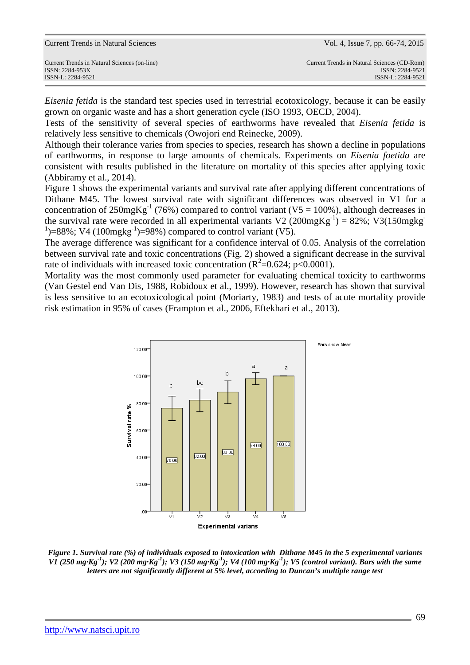*Eisenia fetida* is the standard test species used in terrestrial ecotoxicology, because it can be easily grown on organic waste and has a short generation cycle (ISO 1993, OECD, 2004).

Tests of the sensitivity of several species of earthworms have revealed that *Eisenia fetida* is relatively less sensitive to chemicals (Owojori end Reinecke, 2009).

Although their tolerance varies from species to species, research has shown a decline in populations of earthworms, in response to large amounts of chemicals. Experiments on *Eisenia foetida* are consistent with results published in the literature on mortality of this species after applying toxic (Abbiramy et al., 2014).

Figure 1 shows the experimental variants and survival rate after applying different concentrations of Dithane M45. The lowest survival rate with significant differences was observed in V1 for a concentration of  $250mgKg^{-1}$  (76%) compared to control variant (V5 = 100%), although decreases in the survival rate were recorded in all experimental variants V2 (200mgKg<sup>-1</sup>) = 82%; V3(150mgkg<sup>-1</sup>)  $1$ )=88%; V4 (100mgkg<sup>-1</sup>)=98%) compared to control variant (V5).

The average difference was significant for a confidence interval of 0.05. Analysis of the correlation between survival rate and toxic concentrations (Fig. 2) showed a significant decrease in the survival rate of individuals with increased toxic concentration ( $R^2$ =0.624; p<0.0001).

Mortality was the most commonly used parameter for evaluating chemical toxicity to earthworms (Van Gestel end Van Dis, 1988, Robidoux et al., 1999). However, research has shown that survival is less sensitive to an ecotoxicological point (Moriarty, 1983) and tests of acute mortality provide risk estimation in 95% of cases (Frampton et al., 2006, Eftekhari et al., 2013).



*Figure 1. Survival rate (%) of individuals exposed to intoxication with Dithane M45 in the 5 experimental variants V1 (250 mg·Kg-1); V2 (200 mg·Kg-1); V3 (150 mg·Kg-1); V4 (100 mg·Kg-1); V5 (control variant). Bars with the same letters are not significantly different at 5% level, according to Duncan's multiple range test*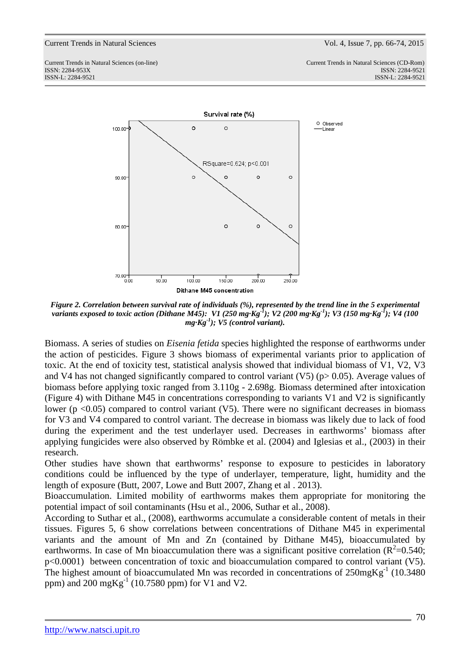

*Figure 2. Correlation between survival rate of individuals (%), represented by the trend line in the 5 experimental variants exposed to toxic action (Dithane M45): V1 (250 mg·Kg-1); V2 (200 mg·Kg-1); V3 (150 mg·Kg-1); V4 (100 mg·Kg-1); V5 (control variant).*

Biomass. A series of studies on *Eisenia fetida* species highlighted the response of earthworms under the action of pesticides. Figure 3 shows biomass of experimental variants prior to application of toxic. At the end of toxicity test, statistical analysis showed that individual biomass of V1, V2, V3 and V4 has not changed significantly compared to control variant (V5) ( $p > 0.05$ ). Average values of biomass before applying toxic ranged from 3.110g - 2.698g. Biomass determined after intoxication (Figure 4) with Dithane M45 in concentrations corresponding to variants V1 and V2 is significantly lower ( $p$  <0.05) compared to control variant (V5). There were no significant decreases in biomass for V3 and V4 compared to control variant. The decrease in biomass was likely due to lack of food during the experiment and the test underlayer used. Decreases in earthworms' biomass after applying fungicides were also observed by Römbke et al. (2004) and Iglesias et al., (2003) in their research.

Other studies have shown that earthworms' response to exposure to pesticides in laboratory conditions could be influenced by the type of underlayer, temperature, light, humidity and the length of exposure (Butt, 2007, Lowe and Butt 2007, Zhang et al . 2013).

Bioaccumulation. Limited mobility of earthworms makes them appropriate for monitoring the potential impact of soil contaminants (Hsu et al., 2006, Suthar et al., 2008).

According to Suthar et al., (2008), earthworms accumulate a considerable content of metals in their tissues. Figures 5, 6 show correlations between concentrations of Dithane M45 in experimental variants and the amount of Mn and Zn (contained by Dithane M45), bioaccumulated by earthworms. In case of Mn bioaccumulation there was a significant positive correlation ( $R^2$ =0.540; p<0.0001) between concentration of toxic and bioaccumulation compared to control variant (V5). The highest amount of bioaccumulated Mn was recorded in concentrations of  $250mgKg^{-1}$  (10.3480) ppm) and 200 mgKg<sup>-1</sup> (10.7580 ppm) for V1 and V2.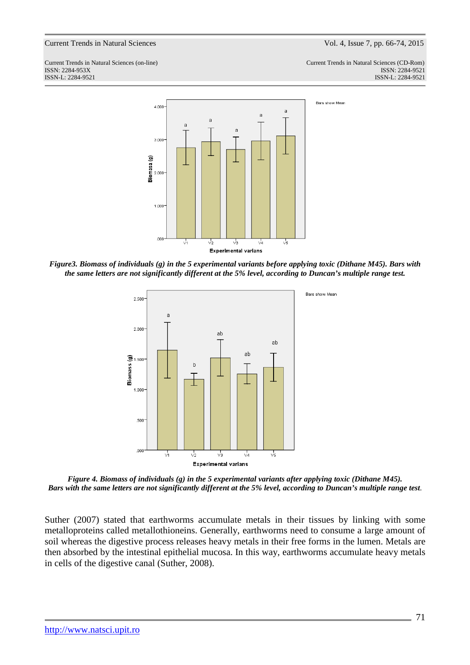

*Figure3. Biomass of individuals (g) in the 5 experimental variants before applying toxic (Dithane M45). Bars with the same letters are not significantly different at the 5% level, according to Duncan's multiple range test.* 



*Figure 4. Biomass of individuals (g) in the 5 experimental variants after applying toxic (Dithane M45). Bars with the same letters are not significantly different at the 5% level, according to Duncan's multiple range test*.

Suther (2007) stated that earthworms accumulate metals in their tissues by linking with some metalloproteins called metallothioneins. Generally, earthworms need to consume a large amount of soil whereas the digestive process releases heavy metals in their free forms in the lumen. Metals are then absorbed by the intestinal epithelial mucosa. In this way, earthworms accumulate heavy metals in cells of the digestive canal (Suther, 2008).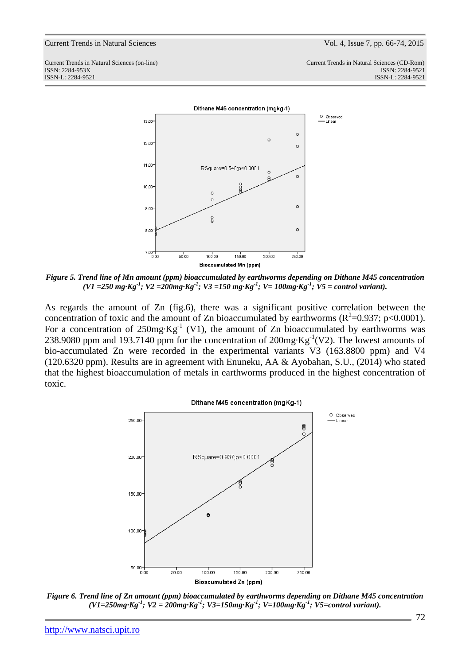

*Figure 5. Trend line of Mn amount (ppm) bioaccumulated by earthworms depending on Dithane M45 concentration (V1 =250 mg·Kg-1; V2 =200mg·Kg-1; V3 =150 mg·Kg-1; V= 100mg·Kg-1; V5 = control variant).* 

As regards the amount of Zn (fig.6), there was a significant positive correlation between the concentration of toxic and the amount of Zn bioaccumulated by earthworms ( $R^2$ =0.937; p<0.0001). For a concentration of  $250mg \cdot Kg^{-1}$  (V1), the amount of Zn bioaccumulated by earthworms was 238.9080 ppm and 193.7140 ppm for the concentration of  $200mg \cdot Kg^{-1}(V2)$ . The lowest amounts of bio-accumulated Zn were recorded in the experimental variants V3 (163.8800 ppm) and V4 (120.6320 ppm). Results are in agreement with Enuneku, AA & Ayobahan, S.U., (2014) who stated that the highest bioaccumulation of metals in earthworms produced in the highest concentration of toxic.



*Figure 6. Trend line of Zn amount (ppm) bioaccumulated by earthworms depending on Dithane M45 concentration (V1=250mg·Kg-1; V2 = 200mg·Kg-1; V3=150mg·Kg-1; V=100mg·Kg-1; V5=control variant).*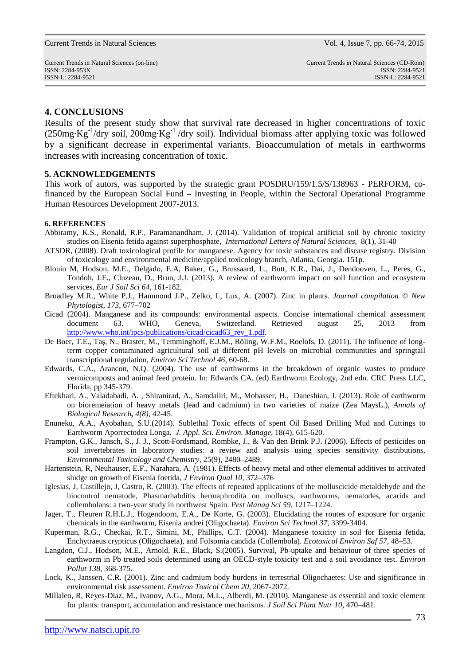### **4. CONCLUSIONS**

Results of the present study show that survival rate decreased in higher concentrations of toxic  $(250mg \cdot Kg^{-1}/dry \text{ soil}, 200mg \cdot Kg^{-1}/dry \text{ soil})$ . Individual biomass after applying toxic was followed by a significant decrease in experimental variants. Bioaccumulation of metals in earthworms increases with increasing concentration of toxic.

### **5. ACKNOWLEDGEMENTS**

This work of autors, was supported by the strategic grant POSDRU/159/1.5/S/138963 - PERFORM, cofinanced by the European Social Fund – Investing in People, within the Sectoral Operational Programme Human Resources Development 2007-2013.

#### **6. REFERENCES**

- Abbiramy, K.S., Ronald, R.P., Paramanandham, J. (2014). Validation of tropical artificial soil by chronic toxicity studies on Eisenia fetida against superphosphate, *International Letters of Natural Sciences,* 8(1), 31-40
- ATSDR, (2008). Draft toxicological profile for manganese. Agency for toxic substances and disease registry. Division of toxicology and environmental medicine/applied toxicology branch*,* Atlanta, Georgia. 151p.
- Blouin M, Hodson, M.E., Delgado, E.A, Baker, G., Brussaard, L., Butt, K.R., Dai, J., Dendooven, L., Peres, G., Tondoh, J.E., Cluzeau, D., Brun, J.J. (2013). A review of earthworm impact on soil function and ecosystem services*, Eur J Soil Sci 64,* 161-182.
- Broadley M.R., White P,J., Hammond J.P., Zelko, I., Lux, A. (2007). Zinc in plants. *Journal compilation © New Phytologist, 173*, 677–702
- Cicad (2004). Manganese and its compounds: environmental aspects. Concise international chemical assessment document 63. WHO, Geneva, Switzerland. Retrieved august 25, 2013 from http://www.who.int/ipcs/publications/cicad/cicad63\_rev\_1.pdf.
- De Boer, T.E., Taş, N., Braster, M., Temminghoff, E.J.M., Röling, W.F.M., Roelofs, D. (2011). The influence of longterm copper contaminated agricultural soil at different pH levels on microbial communities and springtail transcriptional regulation, *Environ Sci Technol 46,* 60-68.
- Edwards, C.A., Arancon, N.Q. (2004). The use of earthworms in the breakdown of organic wastes to produce vermicomposts and animal feed protein. In: Edwards CA. (ed) Earthworm Ecology, 2nd edn. CRC Press LLC, Florida, pp 345-379.
- Eftekhari, A., Valadabadi, A. , Shiranirad, A., Samdaliri, M., Mobasser, H., Daneshian, J. (2013). Role of earthworm on bioremeiation of heavy metals (lead and cadmium) in two varieties of maize (Zea MaysL.), *Annals of Biological Research, 4(8)*, 42-45.
- Enuneku, A.A., Ayobahan, S.U.(2014). Sublethal Toxic effects of spent Oil Based Drilling Mud and Cuttings to Earthworm Aporrectodea Longa**.** *J. Appl. Sci. Environ. Manage,* 18(4), 615-620.
- Frampton, G.K., Jansch, S., J. J., Scott-Fordsmand, Rombke, J., & Van den Brink P.J. (2006). Effects of pesticides on soil invertebrates in laboratory studies: a review and analysis using species sensitivity distributions, *Environmental Toxicology and Chemistry,* 25(9), 2480–2489.
- Hartenstein, R, Neuhauser, E.F., Narahara, A. (1981). Effects of heavy metal and other elemental additives to activated sludge on growth of Eisenia foetida, *J Environ Qual 10,* 372–376
- Iglesias, J, Castillejo, J, Castro, R. (2003). The effects of repeated applications of the molluscicide metaldehyde and the biocontrol nematode, Phasmarhabditis hermaphrodita on molluscs, earthworms, nematodes, acarids and collembolans: a two-year study in northwest Spain. *Pest Manag Sci 59,* 1217–1224.
- Jager, T., Fleuren R.H.L.J., Hogendoorn, E.A., De Korte, G. (2003). Elucidating the routes of exposure for organic chemicals in the earthworm, Eisenia andrei (Oligochaeta). *Environ Sci Technol 37,* 3399-3404.
- Kuperman, R.G., Checkai, R.T., Simini, M., Phillips, C.T. (2004). Manganese toxicity in soil for Eisenia fetida, Enchytraeus crypticus (Oligochaeta), and Folsomia candida (Collembola). *Ecotoxicol Environ Saf 57*, 48–53.
- Langdon, C.J., Hodson, M.E., Arnold, R.E., Black, S.(2005). Survival, Pb-uptake and behaviour of three species of earthworm in Pb treated soils determined using an OECD-style toxicity test and a soil avoidance test. *Environ Pollut 138,* 368-375.
- Lock, K., Janssen, C.R. (2001). Zinc and cadmium body burdens in terrestrial Oligochaetes: Use and significance in environmental risk assessment*. Environ Toxicol Chem 20,* 2067-2072.
- Millaleo, R, Reyes-Diaz, M., Ivanov, A.G., Mora, M.L., Alberdi, M. (2010). Manganese as essential and toxic element for plants: transport, accumulation and resistance mechanisms*. J Soil Sci Plant Nutr 10*, 470–481.